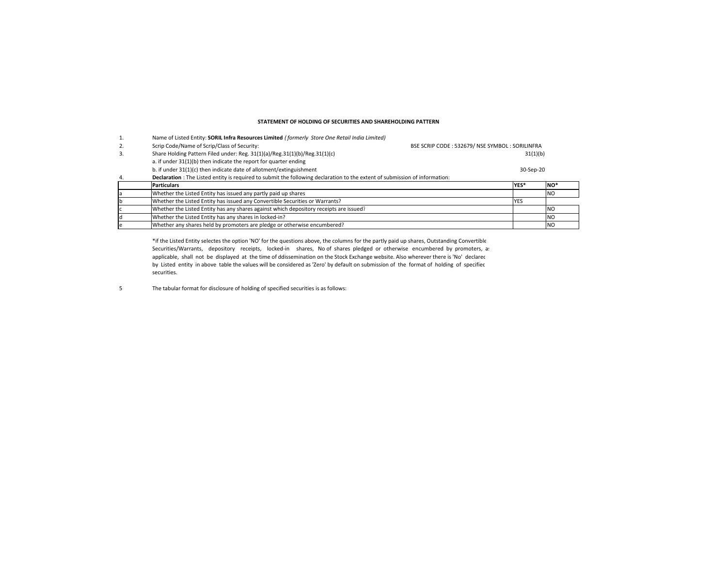## **STATEMENT OF HOLDING OF SECURITIES AND SHAREHOLDING PATTERN**

|    | Name of Listed Entity: SORIL Infra Resources Limited (formerly Store One Retail India Limited)                              |                                                |            |                  |
|----|-----------------------------------------------------------------------------------------------------------------------------|------------------------------------------------|------------|------------------|
| 2. | Scrip Code/Name of Scrip/Class of Security:                                                                                 | BSE SCRIP CODE: 532679/ NSE SYMBOL: SORILINFRA |            |                  |
| 3. | Share Holding Pattern Filed under: Reg. 31(1)(a)/Reg.31(1)(b)/Reg.31(1)(c)                                                  |                                                | 31(1)(b)   |                  |
|    | a. if under 31(1)(b) then indicate the report for quarter ending                                                            |                                                |            |                  |
|    | b. if under 31(1)(c) then indicate date of allotment/extinguishment                                                         |                                                | 30-Sep-20  |                  |
| 4. | Declaration : The Listed entity is required to submit the following declaration to the extent of submission of information: |                                                |            |                  |
|    |                                                                                                                             |                                                |            |                  |
|    | <b>Particulars</b>                                                                                                          |                                                | YES*       | INO <sup>*</sup> |
|    | Whether the Listed Entity has issued any partly paid up shares                                                              |                                                |            | <b>NO</b>        |
|    | Whether the Listed Entity has issued any Convertible Securities or Warrants?                                                |                                                | <b>YES</b> |                  |
|    | Whether the Listed Entity has any shares against which depository receipts are issued?                                      |                                                |            | <b>NO</b>        |
|    | Whether the Listed Entity has any shares in locked-in?                                                                      |                                                |            | <b>NO</b>        |

\*if the Listed Entity selectes the option 'NO' for the questions above, the columns for the partly paid up shares, Outstanding Convertible Securities/Warrants, depository receipts, locked-in shares, No of shares pledged or otherwise encumbered by promoters, a: applicable, shall not be displayed at the time of ddissemination on the Stock Exchange website. Also wherever there is 'No' declarec by Listed entity in above table the values will be considered as 'Zero' by default on submission of the format of holding of specified securities.

5 The tabular format for disclosure of holding of specified securities is as follows: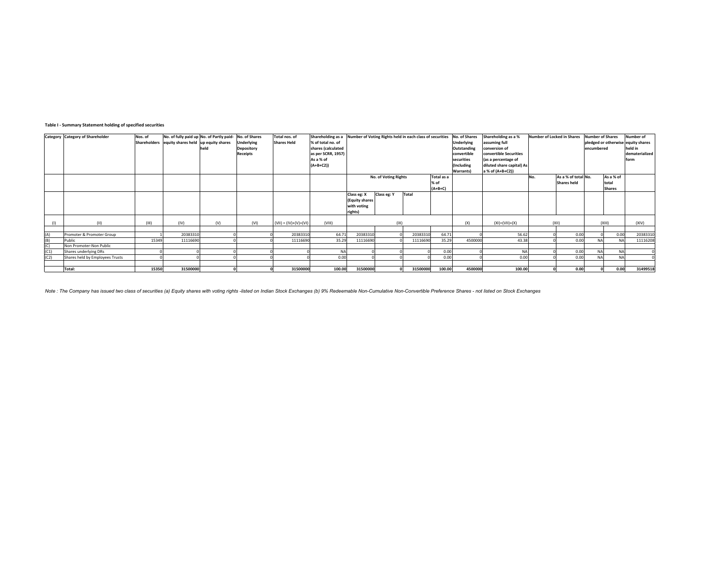### **Table I ‐ Summary Statement holding of specified securities**

|      | Category Category of Shareholder  | Nos. of | No. of fully paid up No. of Partly paid- No. of Shares |      |                   | Total nos. of           | Shareholding as a Number of Voting Rights held in each class of securities No. of Shares |                       |                      |          |                   |               | Shareholding as a %       | Number of Locked in Shares |                     | <b>Number of Shares</b>            |               | Number of      |
|------|-----------------------------------|---------|--------------------------------------------------------|------|-------------------|-------------------------|------------------------------------------------------------------------------------------|-----------------------|----------------------|----------|-------------------|---------------|---------------------------|----------------------------|---------------------|------------------------------------|---------------|----------------|
|      |                                   |         | Shareholders equity shares held up equity shares       |      | Underlying        | <b>Shares Held</b>      | % of total no. of                                                                        |                       |                      |          | <b>Underlying</b> | assuming full |                           |                            |                     | pledged or otherwise equity shares |               |                |
|      |                                   |         |                                                        | held | <b>Depository</b> |                         | shares (calculated                                                                       |                       |                      |          |                   | Outstanding   | conversion of             |                            |                     | encumbered                         |               | held in        |
|      |                                   |         |                                                        |      | <b>Receipts</b>   |                         | as per SCRR, 1957)                                                                       |                       |                      |          |                   | convertible   | convertible Securities    |                            |                     |                                    |               | dematerialized |
|      |                                   |         |                                                        |      |                   |                         | As a % of                                                                                |                       |                      |          |                   | securities    | (as a percentage of       |                            |                     |                                    |               | form           |
|      |                                   |         |                                                        |      |                   |                         | $(A+B+C2)$                                                                               |                       |                      |          |                   | (Including    | diluted share capital) As |                            |                     |                                    |               |                |
|      |                                   |         |                                                        |      |                   |                         |                                                                                          |                       |                      |          |                   | Warrants)     | a % of (A+B+C2))          |                            |                     |                                    |               |                |
|      |                                   |         |                                                        |      |                   |                         |                                                                                          |                       | No. of Voting Rights |          | Total as a        |               |                           | No.                        | As a % of total No. |                                    | As a % of     |                |
|      |                                   |         |                                                        |      |                   |                         |                                                                                          |                       |                      |          | % of              |               |                           |                            | Shares held         |                                    | total         |                |
|      |                                   |         |                                                        |      |                   |                         |                                                                                          |                       |                      |          | $(A+B+C)$         |               |                           |                            |                     |                                    | <b>Shares</b> |                |
|      |                                   |         |                                                        |      |                   |                         |                                                                                          | Class eg: X           | Class eg: Y          | Total    |                   |               |                           |                            |                     |                                    |               |                |
|      |                                   |         |                                                        |      |                   |                         |                                                                                          | <b>(Equity shares</b> |                      |          |                   |               |                           |                            |                     |                                    |               |                |
|      |                                   |         |                                                        |      |                   |                         |                                                                                          | with voting           |                      |          |                   |               |                           |                            |                     |                                    |               |                |
|      |                                   |         |                                                        |      |                   |                         |                                                                                          | rights)               |                      |          |                   |               |                           |                            |                     |                                    |               |                |
|      |                                   |         |                                                        |      |                   |                         |                                                                                          |                       |                      |          |                   |               |                           |                            |                     |                                    |               |                |
| (1)  | (11)                              | (III)   | (IV)                                                   | (V)  | (VI)              | $(VII) = (IV)+(V)+(VI)$ | (VIII)                                                                                   |                       | ( X )                |          |                   | (X)           | $(XI) = (VII) + (X)$      |                            | (X  )               |                                    | (XIII)        | (XIV)          |
|      |                                   |         |                                                        |      |                   |                         |                                                                                          |                       |                      |          |                   |               |                           |                            |                     |                                    |               |                |
| (A)  | Promoter & Promoter Group         | 15349   | 20383310                                               |      |                   | 20383310                | 64.71<br>35.29                                                                           | 20383310              |                      | 20383310 | 64.71<br>35.29    | 4500000       | 56.62                     |                            | 0.00                |                                    | 0.00          | 20383310       |
| (B)  | Public<br>Non Promoter-Non Public |         | 11116690                                               |      |                   | 11116690                |                                                                                          | 11116690              |                      | 11116690 |                   |               | 43.38                     |                            | 0.00                | <b>NA</b>                          | <b>NA</b>     | 11116208       |
| (C)  |                                   |         |                                                        |      |                   |                         |                                                                                          |                       |                      |          |                   |               |                           |                            |                     |                                    |               |                |
| (C1) | Shares underlying DRs             |         |                                                        |      |                   |                         | <b>NA</b>                                                                                |                       |                      |          | 0.00              |               | <b>NA</b>                 |                            | 0.00                | NΔ                                 | <b>NA</b>     |                |
| (C2) | Shares held by Employees Trusts   |         |                                                        |      |                   |                         | 0.00                                                                                     |                       |                      |          | 0.00              |               | 0.00                      |                            | 0.00                | <b>NA</b>                          | <b>NA</b>     |                |
|      |                                   |         |                                                        |      |                   |                         |                                                                                          |                       |                      |          |                   |               |                           |                            |                     |                                    |               |                |
|      | Total:                            | 15350   | 31500000                                               |      |                   | 31500000                | 100.00                                                                                   | 31500000              |                      | 31500000 | 100.00            | 4500000       | 100.00                    |                            | 0.00                |                                    | 0.00          | 31499518       |

Note : The Company has issued two class of securities (a) Equity shares with voting rights -listed on Indian Stock Exchanges (b) 9% Redeemable Non-Cumulative Non-Convertible Preference Shares - not listed on Stock Exchange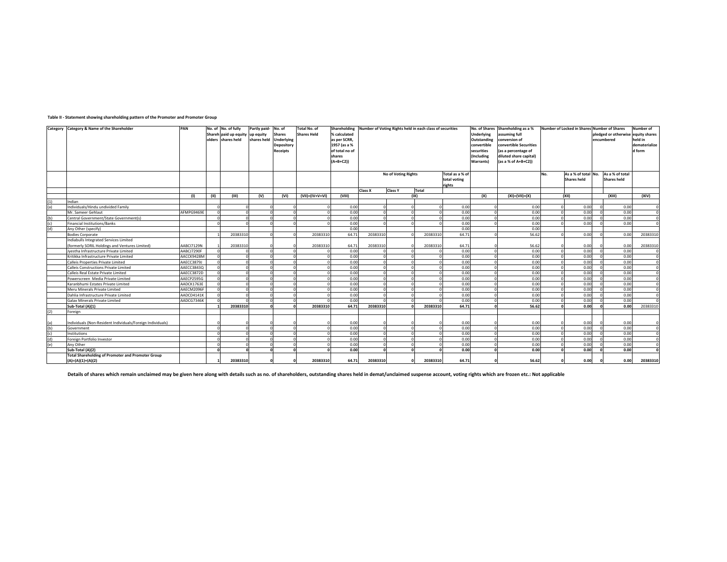|            | Category Category & Name of the Shareholder                | PAN        |          | No. of No. of fully<br>Shareh paid up equity up equity<br>olders shares held | Partly paid- No. of<br>shares held | <b>Shares</b><br>Underlying<br><b>Depository</b><br><b>Receipts</b> | Total No. of<br><b>Shares Held</b> | Shareholding<br>% calculated<br>as per SCRR,<br>1957 (as a %<br>of total no of<br>shares<br>$(A+B+C2)$ |          |                     | Number of Voting Rights held in each class of securities |                        | No. of Shares<br>Underlying<br>Outstanding<br>convertible<br>securities<br>(Including<br><b>Warrants</b> | Shareholding as a %<br>assuming full<br>conversion of<br>convertible Securities<br>(as a percentage of<br>diluted share capital)<br>(as a % of A+B+C2)) |     | Number of Locked in Shares Number of Shares | encumbered | pledged or otherwise | Number of<br>equity shares<br>held in<br>dematerialize<br>d form |
|------------|------------------------------------------------------------|------------|----------|------------------------------------------------------------------------------|------------------------------------|---------------------------------------------------------------------|------------------------------------|--------------------------------------------------------------------------------------------------------|----------|---------------------|----------------------------------------------------------|------------------------|----------------------------------------------------------------------------------------------------------|---------------------------------------------------------------------------------------------------------------------------------------------------------|-----|---------------------------------------------|------------|----------------------|------------------------------------------------------------------|
|            |                                                            |            |          |                                                                              |                                    |                                                                     |                                    |                                                                                                        |          | No of Voting Rights |                                                          | Total as a % of        |                                                                                                          |                                                                                                                                                         | No. | As a % of total No.                         |            | As a % of total      |                                                                  |
|            |                                                            |            |          |                                                                              |                                    |                                                                     |                                    |                                                                                                        |          |                     |                                                          | total voting<br>rights |                                                                                                          |                                                                                                                                                         |     | <b>Shares held</b>                          |            | <b>Shares held</b>   |                                                                  |
|            |                                                            |            |          |                                                                              |                                    |                                                                     |                                    |                                                                                                        | Class X  | <b>Class Y</b>      | <b>Total</b>                                             |                        |                                                                                                          |                                                                                                                                                         |     |                                             |            |                      |                                                                  |
|            |                                                            | (1)        | (11)     | (III)                                                                        | (V)                                | (VI)                                                                | $(VII) = (IV + V + VI)$            | (VIII)                                                                                                 |          |                     | (IX)                                                     |                        | (X)                                                                                                      | $(XI) = (VII) + (X)$                                                                                                                                    |     | (XII)                                       |            | (XIII)               | (XIV)                                                            |
| (1)        | Indian                                                     |            |          |                                                                              |                                    |                                                                     |                                    |                                                                                                        |          |                     |                                                          |                        |                                                                                                          |                                                                                                                                                         |     |                                             |            |                      |                                                                  |
| (a)        | Individuals/Hindu undivided Family                         |            |          |                                                                              |                                    |                                                                     |                                    | 0.00                                                                                                   |          |                     | $\Omega$                                                 | 0.00                   |                                                                                                          | 0.00                                                                                                                                                    |     | 0.00                                        |            | 0.00                 |                                                                  |
|            | Mr. Sameer Gehlaut                                         | AFMPG9469E |          |                                                                              |                                    | $\Omega$                                                            |                                    | 0.00                                                                                                   |          |                     | $\Omega$                                                 | 0.00                   |                                                                                                          | 0.00                                                                                                                                                    |     | 0.00                                        |            | 0.00                 |                                                                  |
| (b)        | Central Government/State Government(s)                     |            | $\Omega$ | $\Omega$                                                                     |                                    | $\Omega$                                                            |                                    | 0.00                                                                                                   | $\Omega$ |                     | $\circ$                                                  | 0.00                   |                                                                                                          | 0.00                                                                                                                                                    |     | 0.00                                        |            | 0.00                 | $\mathfrak{c}$                                                   |
| (c)        | Financial Institutions/Banks                               |            |          |                                                                              |                                    | $\sim$                                                              |                                    | 0.00                                                                                                   |          |                     |                                                          | 0.00                   |                                                                                                          | 0.00                                                                                                                                                    |     | 0.00                                        |            | 0.00                 |                                                                  |
| (d)        | Any Other (specify)                                        |            |          |                                                                              |                                    |                                                                     |                                    | 0.00                                                                                                   |          |                     |                                                          | 0.00                   |                                                                                                          | 0.00                                                                                                                                                    |     |                                             |            |                      |                                                                  |
|            | <b>Bodies Corporate</b>                                    |            |          | 20383310                                                                     |                                    |                                                                     | 20383310                           | 64.71                                                                                                  | 20383310 |                     | 20383310                                                 | 64.71                  |                                                                                                          | 56.62                                                                                                                                                   |     | 0.00                                        |            | 0.00                 | 20383310                                                         |
|            | Indiabulls Integrated Services Limited                     |            |          |                                                                              |                                    |                                                                     |                                    |                                                                                                        |          |                     |                                                          |                        |                                                                                                          |                                                                                                                                                         |     |                                             |            |                      |                                                                  |
|            | (formerly SORIL Holdings and Ventures Limited)             | AABCI7129N |          | 20383310                                                                     |                                    |                                                                     | 20383310                           | 64.71                                                                                                  | 20383310 |                     | 20383310                                                 | 64.71                  |                                                                                                          | 56.62                                                                                                                                                   |     | 0.00                                        |            | 0.00                 | 20383310                                                         |
|            | Jvestha Infrastructure Private Limited                     | AABCJ7290F |          |                                                                              |                                    | $\Omega$                                                            |                                    | 0.00                                                                                                   |          |                     |                                                          | 0.00                   |                                                                                                          | 0.00                                                                                                                                                    |     | 0.00                                        |            | 0.00                 |                                                                  |
|            | Kritikka Infrastructure Private Limited                    | AACCK9428M | $\Omega$ | $\Omega$                                                                     |                                    | $\Omega$                                                            |                                    | 0.00                                                                                                   | $\Omega$ |                     | $\Omega$                                                 | 0.00                   |                                                                                                          | 0.00                                                                                                                                                    |     | 0.00                                        |            | 0.00                 | $\mathfrak{c}$                                                   |
|            | Calleis Properties Private Limited                         | AAECC3879J |          | $\Omega$                                                                     |                                    | $\Omega$                                                            |                                    | 0.00                                                                                                   |          |                     |                                                          | 0.00                   |                                                                                                          | 0.00                                                                                                                                                    |     | 0.00                                        |            | 0.00                 | $\mathfrak{c}$                                                   |
|            | Calleis Constructions Private Limited                      | AAECC3843Q |          | $\Omega$                                                                     |                                    | $\Omega$                                                            |                                    | 0.00                                                                                                   |          |                     | $\Omega$                                                 | 0.00                   |                                                                                                          | 0.00                                                                                                                                                    |     | 0.00                                        |            | 0.00                 | $\mathfrak{c}$                                                   |
|            | Calleis Real Estate Private Limited                        | AAECC3872D |          | $\Omega$                                                                     |                                    | $\Omega$                                                            |                                    | 0.00                                                                                                   |          |                     | $\Omega$                                                 | 0.00                   |                                                                                                          | 0.00                                                                                                                                                    |     | 0.00                                        |            | 0.00                 | $\mathfrak{c}$                                                   |
|            | Powerscreen Media Private Limited                          | AAECP2595G |          |                                                                              |                                    | $\Omega$                                                            |                                    | 0.00                                                                                                   |          |                     | $\Omega$                                                 | 0.00                   |                                                                                                          | 0.00                                                                                                                                                    |     | 0.00                                        |            | 0.00                 | $\mathfrak{g}$                                                   |
|            | Karanbhumi Estates Private Limited                         | AADCK1763E |          | $\Omega$                                                                     |                                    | $\Omega$                                                            |                                    | 0.00                                                                                                   |          |                     | $\Omega$                                                 | 0.00                   |                                                                                                          | 0.00                                                                                                                                                    |     | 0.00                                        |            | 0.00                 | $\mathfrak{c}$                                                   |
|            | Meru Minerals Private Limited                              | AAECM2096F |          |                                                                              |                                    | $\Omega$                                                            |                                    | 0.00                                                                                                   |          |                     | $\Omega$                                                 | 0.00                   |                                                                                                          | 0.00                                                                                                                                                    |     | 0.00                                        |            | 0.00                 | C                                                                |
|            | Dahlia Infrastructure Private Limited                      | AADCD4141K | $\Omega$ | $\Omega$                                                                     |                                    | $\Omega$                                                            |                                    | 0.00                                                                                                   | $\Omega$ |                     | $\Omega$                                                 | 0.00                   |                                                                                                          | 0.00                                                                                                                                                    |     | 0.00                                        |            | 0.00                 | <sub>C</sub>                                                     |
|            | Galax Minerals Private Limited                             | AADCG7346K |          |                                                                              |                                    |                                                                     |                                    | 0.00                                                                                                   |          |                     |                                                          | 0.00                   |                                                                                                          | 0.00                                                                                                                                                    |     | 0.00                                        |            | 0.00                 |                                                                  |
|            | Sub-Total (A)(1)                                           |            |          | 20383310                                                                     |                                    |                                                                     | 20383310                           | 64.71                                                                                                  | 20383310 |                     | 20383310                                                 | 64.71                  |                                                                                                          | 56.62                                                                                                                                                   |     | 0.00                                        |            | 0.00                 | 20383310                                                         |
| (2)        | Foreign                                                    |            |          |                                                                              |                                    |                                                                     |                                    |                                                                                                        |          |                     |                                                          |                        |                                                                                                          |                                                                                                                                                         |     |                                             |            |                      |                                                                  |
|            | Individuals (Non-Resident Individuals/Foreign Individuals) |            |          |                                                                              |                                    |                                                                     |                                    | 0.00                                                                                                   |          |                     |                                                          | 0.00                   |                                                                                                          | 0.00                                                                                                                                                    |     | 0.00                                        |            | 0.00                 |                                                                  |
| (a)<br>(b) | Government                                                 |            | $\Omega$ | $\Omega$                                                                     |                                    | $\Omega$                                                            |                                    | 0.00                                                                                                   |          |                     | $\Omega$                                                 | 0.00                   |                                                                                                          | 0.00                                                                                                                                                    |     | 0.00                                        |            | 0.00                 | $\mathsf{C}$                                                     |
| (c)        | Institutions                                               |            | $\Omega$ | $\Omega$                                                                     |                                    | $\Omega$                                                            |                                    | 0.00                                                                                                   |          |                     | $\Omega$                                                 | 0.00                   |                                                                                                          | 0.00                                                                                                                                                    |     | 0.00                                        |            | 0.00                 | $\mathfrak{c}$                                                   |
| (d)        | Foreign Portfolio Investor                                 |            |          | $\Omega$                                                                     |                                    | $\Omega$                                                            |                                    | 0.00                                                                                                   |          |                     | $\Omega$                                                 | 0.00                   |                                                                                                          | 0.00                                                                                                                                                    |     | 0.00                                        |            | 0.00                 | $\mathfrak{c}$                                                   |
| (e)        | Anv Other                                                  |            |          | $\Omega$                                                                     |                                    | $\Omega$                                                            |                                    | 0.00                                                                                                   |          |                     | $\Omega$                                                 | 0.00                   |                                                                                                          | 0.00                                                                                                                                                    |     | 0.00                                        |            | 0.00                 |                                                                  |
|            | Sub-Total (A)(2)                                           |            | $\Omega$ | $\Omega$                                                                     |                                    | $\mathbf{r}$                                                        |                                    | 0.00                                                                                                   |          |                     | $\mathbf{r}$                                             | 0.00                   |                                                                                                          | 0.00                                                                                                                                                    |     | 0.00                                        |            | 0.00                 |                                                                  |
|            | <b>Total Shareholding of Promoter and Promoter Group</b>   |            |          |                                                                              |                                    |                                                                     |                                    |                                                                                                        |          |                     |                                                          |                        |                                                                                                          |                                                                                                                                                         |     |                                             |            |                      |                                                                  |
|            | $(A)=(A)(1)+(A)(2)$                                        |            |          | 20383310                                                                     |                                    |                                                                     | 20383310                           | 64.71                                                                                                  | 20383310 |                     | 20383310                                                 | 64.71                  |                                                                                                          | 56.62                                                                                                                                                   |     | 0.00                                        |            | 0.00                 | 20383310                                                         |
|            |                                                            |            |          |                                                                              |                                    |                                                                     |                                    |                                                                                                        |          |                     |                                                          |                        |                                                                                                          |                                                                                                                                                         |     |                                             |            |                      |                                                                  |

## **Table II ‐ Statement showing shareholding pattern of the Promoter and Promoter Group**

Details of shares which remain unclaimed may be given here along with details such as no. of shareholders, outstanding shares held in demat/unclaimed suspense account, voting rights which are frozen etc.: Not applicable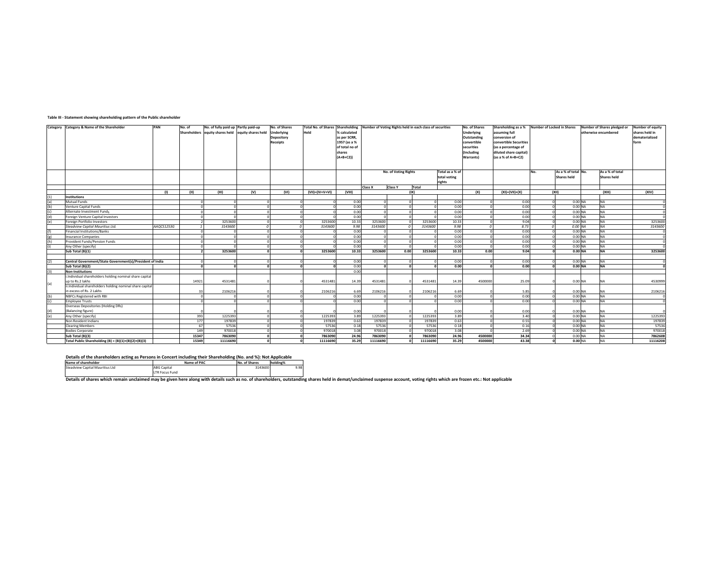#### **Table III ‐ Statement showing shareholding pattern of the Public shareholder**

|                                     | Category Category & Name of the Shareholder               | PAN        | No. of | No. of fully paid up Partly paid-up                |            | No. of Shares     | Total No. of Shares Shareholding Number of Voting Rights held in each class of securities |                |          |                             |          |                 | No. of Shares     | Shareholding as a % Number of Locked in Shares |                |                     |                      | Number of Shares pledged or | <b>Number of equity</b> |
|-------------------------------------|-----------------------------------------------------------|------------|--------|----------------------------------------------------|------------|-------------------|-------------------------------------------------------------------------------------------|----------------|----------|-----------------------------|----------|-----------------|-------------------|------------------------------------------------|----------------|---------------------|----------------------|-----------------------------|-------------------------|
|                                     |                                                           |            |        | Shareholders equity shares held equity shares held |            | <b>Underlying</b> | Held                                                                                      | % calculated   |          |                             |          |                 | <b>Underlying</b> | assuming full                                  |                |                     |                      | otherwise encumbered        | shares held in          |
|                                     |                                                           |            |        |                                                    |            | Depository        |                                                                                           | as per SCRR,   |          |                             |          |                 | Outstanding       | conversion of                                  |                |                     |                      |                             | dematerialized          |
|                                     |                                                           |            |        |                                                    |            |                   |                                                                                           | 1957 (as a %   |          |                             |          |                 |                   |                                                |                |                     |                      |                             |                         |
|                                     |                                                           |            |        |                                                    |            | Receipts          |                                                                                           |                |          |                             |          |                 | convertible       | convertible Securities                         |                |                     |                      |                             | form                    |
|                                     |                                                           |            |        |                                                    |            |                   |                                                                                           | of total no of |          |                             |          |                 | securities        | (as a percentage of                            |                |                     |                      |                             |                         |
|                                     |                                                           |            |        |                                                    |            |                   |                                                                                           | shares         |          |                             |          |                 | Including         | diluted share capital)                         |                |                     |                      |                             |                         |
|                                     |                                                           |            |        |                                                    |            |                   |                                                                                           | $(A+B+C2))$    |          |                             |          |                 | Warrants)         | (as a % of A+B+C2)                             |                |                     |                      |                             |                         |
|                                     |                                                           |            |        |                                                    |            |                   |                                                                                           |                |          |                             |          |                 |                   |                                                |                |                     |                      |                             |                         |
|                                     |                                                           |            |        |                                                    |            |                   |                                                                                           |                |          |                             |          |                 |                   |                                                |                |                     |                      |                             |                         |
|                                     |                                                           |            |        |                                                    |            |                   |                                                                                           |                |          | <b>No. of Voting Rights</b> |          | Total as a % of |                   |                                                | No.            | As a % of total No. |                      | As a % of total             |                         |
|                                     |                                                           |            |        |                                                    |            |                   |                                                                                           |                |          |                             |          | total voting    |                   |                                                |                | <b>Shares held</b>  |                      | <b>Shares held</b>          |                         |
|                                     |                                                           |            |        |                                                    |            |                   |                                                                                           |                |          |                             |          | rights          |                   |                                                |                |                     |                      |                             |                         |
|                                     |                                                           |            |        |                                                    |            |                   |                                                                                           |                | Class X  | <b>Class Y</b>              | Total    |                 |                   |                                                |                |                     |                      |                             |                         |
|                                     |                                                           | (1)        | (III)  | (III)                                              | (V)        | (VI)              | (VII)=(IV+V+VI)                                                                           | (VIII)         |          |                             | (IX)     |                 | (X)               | $(XI) = (VII) + (X)$                           |                | (X  )               |                      | (XIII)                      | (XIV)                   |
| (1)                                 | <b>Institutions</b>                                       |            |        |                                                    |            |                   |                                                                                           |                |          |                             |          |                 |                   |                                                |                |                     |                      |                             |                         |
|                                     | Mutual Funds                                              |            |        |                                                    |            |                   |                                                                                           | 0.00           |          |                             |          | 0.00            |                   | 0.00                                           |                |                     | 0.00 NA              | <b>NA</b>                   |                         |
| (a)<br>(b)                          | Venture Capital Funds                                     |            |        |                                                    | $\sqrt{ }$ |                   |                                                                                           | 0.00           | n        |                             |          | 0.00            | $\Omega$          | 0.00                                           | $\overline{0}$ |                     | 0.00 NA              | <b>NA</b>                   | $\mathbf{0}$            |
|                                     | Alternate Investment Funds                                |            |        |                                                    |            |                   |                                                                                           | 0.00           |          |                             |          | 0.00            |                   | 0.00                                           |                |                     | $0.00$ NA            | <b>NA</b>                   | $\mathbf{0}$            |
| $\frac{\binom{c}{c}}{\binom{d}{c}}$ | Foreign Venture Capital Investors                         |            |        |                                                    |            |                   |                                                                                           | 0.00           |          |                             |          | 0.00            |                   | 0.00                                           |                |                     | 0.00 <sub>NA</sub>   | <b>NA</b>                   | $\sqrt{2}$              |
| (e)                                 | Foreign Portfolio Investors                               |            |        | 3253600                                            | $\Omega$   |                   | 3253600                                                                                   | 10.33          | 3253600  |                             | 3253600  | 10.33           |                   | 9.04                                           | $\Omega$       |                     | 0.00 NA              | <b>NA</b>                   | 3253600                 |
|                                     | Steadview Capital Mauritius Ltd.                          | AAOCS1253G |        | 3143600                                            |            |                   | 3143600                                                                                   | 9.98           | 3143600  |                             | 3143600  | 9.98            |                   | 8.73                                           | $\sqrt{2}$     |                     | 0.00 NA              | <b>NA</b>                   | 3143600                 |
| (f)                                 | Financial Institutions/Banks                              |            |        |                                                    | $\Omega$   |                   |                                                                                           | 0.00           |          |                             |          | 0.00            |                   | 0.00                                           | $\Omega$       |                     | 0.00 NA              | <b>NA</b>                   | $\mathbf 0$             |
| (g)                                 | <b>Insurance Companies</b>                                |            |        |                                                    |            |                   |                                                                                           | 0.00           |          |                             |          | 0.00            |                   | 0.00                                           | $\Omega$       |                     | $0.00$ NA            | <b>NA</b>                   | $\sqrt{2}$              |
| (h)                                 | Provident Funds/Pension Funds                             |            |        |                                                    |            |                   |                                                                                           | 0.00           |          |                             |          | 0.00            |                   | 0.00                                           |                |                     | 0.00 NA              | <b>NA</b>                   | $\mathbf{0}$            |
|                                     | Any Other (specify)                                       |            |        |                                                    |            |                   |                                                                                           | 0.00           |          |                             |          | 0.00            |                   | 0.00                                           |                |                     | 0.00 NA              | <b>NA</b>                   | $\sqrt{2}$              |
|                                     | Sub Total (B)(1)                                          |            |        | 3253600                                            |            |                   | 3253600                                                                                   | 10.33          | 3253600  | 0.00                        | 3253600  | 10.33           | 0.00              | 9.04                                           |                |                     | 0.00 NA              | <b>NA</b>                   | 3253600                 |
|                                     |                                                           |            |        |                                                    |            |                   |                                                                                           |                |          |                             |          |                 |                   |                                                |                |                     |                      |                             |                         |
| (2)                                 | Central Government/State Government(s)/President of India |            |        |                                                    | $\Omega$   |                   |                                                                                           | 0.00           |          |                             |          | 0.00            |                   | 0.00                                           | $\circ$        |                     | $0.00$ NA            | <b>NA</b>                   | $\mathbf{0}$            |
|                                     | Sub Total (B)(2)                                          |            |        |                                                    |            |                   |                                                                                           | 0.00           |          |                             |          | 0.00            |                   | 0.00                                           |                |                     | 0.00 NA              | <b>NA</b>                   | n                       |
| (3)                                 | <b>Non-Institutions</b>                                   |            |        |                                                    |            |                   |                                                                                           | 0.00           |          |                             |          |                 |                   |                                                |                |                     |                      |                             |                         |
|                                     | i.Individual shareholders holding nominal share capital   |            |        |                                                    |            |                   |                                                                                           |                |          |                             |          |                 |                   |                                                |                |                     |                      |                             |                         |
| (a)                                 | up to Rs.2 lakhs                                          |            | 14921  | 4531481                                            |            |                   | 4531481                                                                                   | 14.39          | 4531481  |                             | 4531483  | 14.39           | 4500000           | 25.09                                          |                |                     | $0.00$ NA            | <b>NA</b>                   | 4530999                 |
|                                     | ii.Individual shareholders holding nominal share capital  |            |        |                                                    |            |                   |                                                                                           |                |          |                             |          |                 |                   |                                                |                |                     |                      |                             |                         |
|                                     | in excess of Rs. 2 Lakhs                                  |            | 33     | 2106216                                            |            |                   | 2106216                                                                                   | 6.69           | 2106216  |                             | 2106216  | 6.69            |                   | 5.85                                           |                |                     | $0.00$ NA            | <b>NA</b>                   | 2106216                 |
| (b)                                 | NBFCs Registered with RBI                                 |            |        |                                                    | $\sqrt{2}$ |                   |                                                                                           | 0.00           |          |                             |          | 0.00            | n                 | 0.00                                           | $\Omega$       |                     | 0.00 NA              | <b>NA</b>                   |                         |
| (c)                                 | <b>Employee Trusts</b>                                    |            |        |                                                    |            |                   |                                                                                           | 0.00           |          |                             |          | 0.00            |                   | 0.00                                           |                |                     | 0.00 NA              | <b>NA</b>                   | $\sqrt{2}$              |
|                                     | Overseas Depositories (Holding DRs)                       |            |        |                                                    |            |                   |                                                                                           |                |          |                             |          |                 |                   |                                                |                |                     |                      |                             |                         |
| (d)                                 | (Balancing figure)                                        |            |        |                                                    |            |                   |                                                                                           | 0.00           |          |                             |          | 0.00            |                   | 0.00                                           |                |                     | $0.00$ NA            | <b>NA</b>                   | $\sqrt{2}$              |
| (e)                                 | Any Other (specify)                                       |            | 393    | 1225393                                            |            |                   | 1225393                                                                                   | 3.89           | 1225393  |                             | 1225393  | 3.89            |                   | 3.40                                           |                |                     | 0.00 NA              | <b>NA</b>                   | 1225393                 |
|                                     | Non Resident Indians                                      |            | 177    | 197839                                             |            |                   | 197839                                                                                    | 0.63           | 197839   |                             | 197839   | 0.63            |                   | 0.55                                           | $\Omega$       |                     | 0.00 NA              | <b>NA</b>                   | 197839                  |
|                                     | <b>Clearing Members</b>                                   |            | 67     | 57536                                              |            |                   | 57536                                                                                     | 0.18           | 57536    |                             | 57536    | 0.18            |                   | 0.16                                           |                |                     | 0.00 NA              | <b>NA</b>                   | 57536                   |
|                                     | <b>Bodies Corporate</b>                                   |            | 149    | 970018                                             |            |                   | 970018                                                                                    | 3.08           | 970018   |                             | 970018   | 3.08            |                   | 2.69                                           |                |                     | 0.00 NA              | <b>NA</b>                   | 970018                  |
|                                     | Sub Total (B)(3)                                          |            | 15347  | 7863090                                            |            |                   | 7863090                                                                                   | 24.96          | 7863090  |                             | 7863090  | 24.96           | 4500000           | 34.34                                          | $\Omega$       |                     | 0.00 <sub>NA</sub>   | <b>NA</b>                   | 7862608                 |
|                                     | Total Public Shareholding (B) = $(B)(1)+(B)(2)+(B)(3)$    |            | 15349  | 11116690                                           |            |                   | 11116690                                                                                  | 35.29          | 11116690 |                             | 11116690 | 35.29           | 4500000           | 43.38                                          |                |                     | $0.00$ <sub>NA</sub> | <b>NA</b>                   | 11116208                |

Details of the shareholders acting as Persons in Concert including their Shareholding (No. and %): Not Applicable

| Name of shareholder             | Name of PAC        | No. of Shares | holding% |
|---------------------------------|--------------------|---------------|----------|
| Steadview Capital Mauritius Ltd | <b>ABG Capital</b> | 3143600       | 9.98     |
|                                 | LTR Focus Fund     |               |          |
| .<br>.<br>$\sim$                | .                  | $-$<br>.      |          |

Details of shares which remain unclaimed may be given here along with details such as no. of shareholders, outstanding shares held in demat/unclaimed suspense account, voting rights which are frozen etc.: Not applicable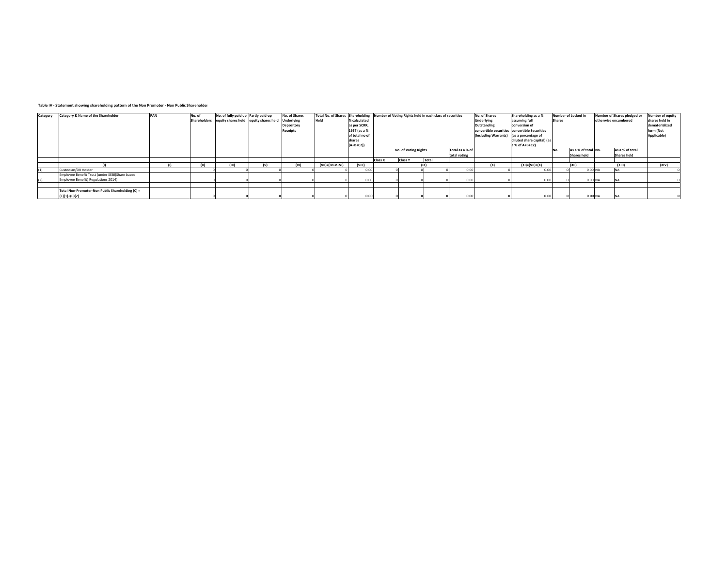#### **Table IV ‐ Statement showing shareholding pattern of the Non Promoter ‐ Non Public Shareholder**

| Category | Category & Name of the Shareholder               | PAN          | No. of | No. of fully paid up Partly paid-up | Shareholders equity shares held equity shares held Underlying | No. of Shares   | <b>Held</b>     | % calculated             |         |                      | Total No. of Shares Shareholding Number of Voting Rights held in each class of securities |                 | No. of Shares<br><b>Underlying</b>       | Shareholding as a %<br>assuming full          | <b>Shares</b> | Number of Locked in | Number of Shares pledged or<br>otherwise encumbered | Number of equity<br>shares held in |
|----------|--------------------------------------------------|--------------|--------|-------------------------------------|---------------------------------------------------------------|-----------------|-----------------|--------------------------|---------|----------------------|-------------------------------------------------------------------------------------------|-----------------|------------------------------------------|-----------------------------------------------|---------------|---------------------|-----------------------------------------------------|------------------------------------|
|          |                                                  |              |        |                                     |                                                               | Depository      |                 | as per SCRR,             |         |                      |                                                                                           |                 | Outstanding                              | conversion of                                 |               |                     |                                                     | dematerialized                     |
|          |                                                  |              |        |                                     |                                                               | <b>Receipts</b> |                 | 1957 (as a %             |         |                      |                                                                                           |                 |                                          | convertible securities convertible Securities |               |                     |                                                     | form (Not                          |
|          |                                                  |              |        |                                     |                                                               |                 |                 | of total no of<br>shares |         |                      |                                                                                           |                 | (Including Warrants) (as a percentage of | diluted share capital) (as                    |               |                     |                                                     | Applicable)                        |
|          |                                                  |              |        |                                     |                                                               |                 |                 | $(A+B+C2)$               |         |                      |                                                                                           |                 |                                          | a % of A+B+C2)                                |               |                     |                                                     |                                    |
|          |                                                  |              |        |                                     |                                                               |                 |                 |                          |         | No. of Voting Rights |                                                                                           | Total as a % of |                                          |                                               |               | As a % of total No. | As a % of total                                     |                                    |
|          |                                                  |              |        |                                     |                                                               |                 |                 |                          |         |                      |                                                                                           | total voting    |                                          |                                               |               | <b>Shares held</b>  | Shares held                                         |                                    |
|          |                                                  |              |        |                                     |                                                               |                 |                 |                          | Class X | <b>Class Y</b>       | Total                                                                                     |                 |                                          |                                               |               |                     |                                                     |                                    |
|          |                                                  | $\mathbf{u}$ | (II)   | (III)                               | (V)                                                           | (VI)            | (VII)=(IV+V+VI) | (VIII)                   |         |                      |                                                                                           |                 | (x)                                      | $(XI) = (VII) + (X)$                          |               | (X  )               | (XIII                                               | (X V)                              |
| (1)      | Custodian/DR Holder                              |              |        |                                     |                                                               |                 |                 | 0.00                     |         |                      |                                                                                           | 0.00            |                                          | 0.00                                          |               | $0.00$ NA           |                                                     |                                    |
|          | Employee Benefit Trust (under SEBI(Share based   |              |        |                                     |                                                               |                 |                 |                          |         |                      |                                                                                           |                 |                                          |                                               |               |                     |                                                     |                                    |
| (2)      | Employee Benefit) Regulations 2014)              |              |        |                                     |                                                               |                 |                 | 0.001                    |         |                      |                                                                                           | 0.00            |                                          | 0.00                                          |               | 0.00 NA             |                                                     |                                    |
|          |                                                  |              |        |                                     |                                                               |                 |                 |                          |         |                      |                                                                                           |                 |                                          |                                               |               |                     |                                                     |                                    |
|          | Total Non-Promoter-Non Public Shareholding (C) = |              |        |                                     |                                                               |                 |                 |                          |         |                      |                                                                                           |                 |                                          |                                               |               |                     |                                                     |                                    |
|          | $(C)(1)+(C)(2)$                                  |              |        |                                     |                                                               |                 |                 | 0.00                     |         |                      |                                                                                           | 0.00            |                                          | 0.00                                          |               | $0.00$ NA           |                                                     |                                    |